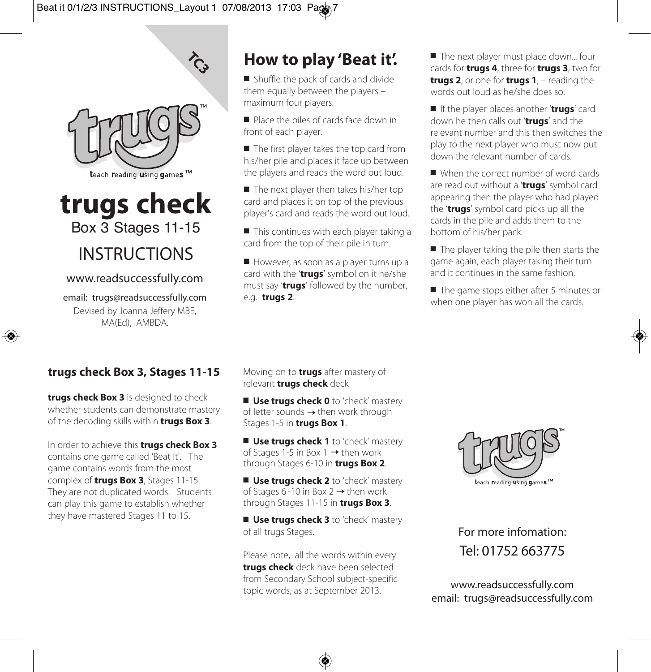

 $\hat{C}$ 

# **trugs check** Box 3 Stages 11-15

## INSTRUCTIONS

#### www.readsuccessfully.com

email: trugs@readsuccessfully.com Devised by Joanna Jeffery MBE, MA(Ed), AMBDA.

### **How to play 'Beat it'.**

 $\blacksquare$  Shuffle the pack of cards and divide them equally between the players – maximum four players.

 $\blacksquare$  Place the piles of cards face down in front of each player.

 $\blacksquare$  The first player takes the top card from his/her pile and places it face up between the players and reads the word out loud.

 $\blacksquare$  The next player then takes his/her top card and places it on top of the previous player's card and reads the word out loud.

 $\blacksquare$  This continues with each player taking a card from the top of their pile in turn.

 $\blacksquare$  However, as soon as a player turns up a card with the '**trugs**' symbol on it he/she must say '**trugs**' followed by the number, e.g. **trugs 2**.

 $\blacksquare$  The next player must place down... four cards for **trugs 4**, three for **trugs 3**, two for **trugs 2**, or one for **trugs 1**, – reading the words out loud as he/she does so.

**n** If the player places another '**trugs'** card down he then calls out '**trugs**' and the relevant number and this then switches the play to the next player who must now put down the relevant number of cards.

When the correct number of word cards are read out without a '**trugs**' symbol card appearing then the player who had played the '**trugs**' symbol card picks up all the cards in the pile and adds them to the bottom of his/her pack.

 $\blacksquare$  The player taking the pile then starts the game again, each player taking their turn and it continues in the same fashion.

 $\blacksquare$  The game stops either after 5 minutes or when one player has won all the cards.

#### **trugs check Box 3, Stages 11-15**

**trugs check Box 3** is designed to check whether students can demonstrate mastery of the decoding skills within **trugs Box 3**.

In order to achieve this **trugs check Box 3** contains one game called 'Beat It'. The game contains words from the most complex of **trugs Box 3**, Stages 11-15. They are not duplicated words. Students can play this game to establish whether they have mastered Stages 11 to 15.

Moving on to **trugs** after mastery of relevant **trugs check** deck

n **Use trugs check 0** to 'check' mastery of letter sounds  $\rightarrow$  then work through Stages 1-5 in **trugs Box 1**.

n **Use trugs check 1** to 'check' mastery of Stages 1-5 in Box 1  $\rightarrow$  then work through Stages 6-10 in **trugs Box 2**.

■ Use trugs check 2 to 'check' mastery of Stages 6-10 in Box 2  $\rightarrow$  then work through Stages 11-15 in **trugs Box 3**.

■ Use trugs check 3 to 'check' mastery of all trugs Stages.

Please note, all the words within every **trugs check** deck have been selected from Secondary School subject-specific Trom secondary school subject-specific<br>topic words, as at September 2013.



For more infomation: Tel: 01752 663775

email: trugs@readsuccessfully.com